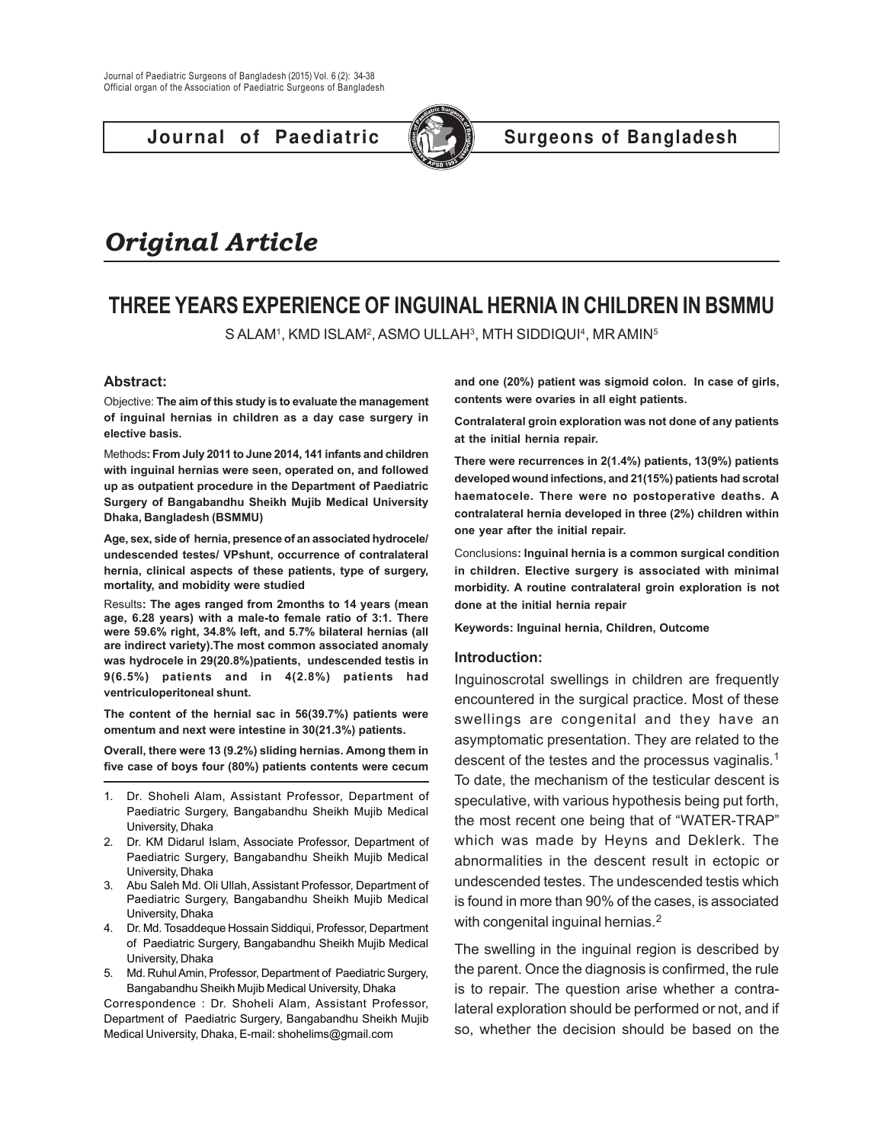**Journal of Paediatric (COV)** Surgeons of Bangladesh



# *Original Article*

## **THREE YEARS EXPERIENCE OF INGUINAL HERNIA IN CHILDREN IN BSMMU**

S ALAMª, KMD ISLAM², ASMO ULLAH<sup>3</sup>, MTH SIDDIQUI<del>ª</del>, MR AMIN<sup>5</sup>

### **Abstract:**

Objective: **The aim of this study is to evaluate the management of inguinal hernias in children as a day case surgery in elective basis.**

Methods**: From July 2011 to June 2014, 141 infants and children with inguinal hernias were seen, operated on, and followed up as outpatient procedure in the Department of Paediatric Surgery of Bangabandhu Sheikh Mujib Medical University Dhaka, Bangladesh (BSMMU)**

**Age, sex, side of hernia, presence of an associated hydrocele/ undescended testes/ VPshunt, occurrence of contralateral hernia, clinical aspects of these patients, type of surgery, mortality, and mobidity were studied**

Results**: The ages ranged from 2months to 14 years (mean age, 6.28 years) with a male-to female ratio of 3:1. There were 59.6% right, 34.8% left, and 5.7% bilateral hernias (all are indirect variety).The most common associated anomaly was hydrocele in 29(20.8%)patients, undescended testis in 9(6.5%) patients and in 4(2.8%) patients had ventriculoperitoneal shunt.**

**The content of the hernial sac in 56(39.7%) patients were omentum and next were intestine in 30(21.3%) patients.**

**Overall, there were 13 (9.2%) sliding hernias. Among them in five case of boys four (80%) patients contents were cecum**

- 1. Dr. Shoheli Alam, Assistant Professor, Department of Paediatric Surgery, Bangabandhu Sheikh Mujib Medical University, Dhaka
- 2. Dr. KM Didarul Islam, Associate Professor, Department of Paediatric Surgery, Bangabandhu Sheikh Mujib Medical University, Dhaka
- 3. Abu Saleh Md. Oli Ullah, Assistant Professor, Department of Paediatric Surgery, Bangabandhu Sheikh Mujib Medical University, Dhaka
- 4. Dr. Md. Tosaddeque Hossain Siddiqui, Professor, Department of Paediatric Surgery, Bangabandhu Sheikh Mujib Medical University, Dhaka
- 5. Md. Ruhul Amin, Professor, Department of Paediatric Surgery, Bangabandhu Sheikh Mujib Medical University, Dhaka

Correspondence : Dr. Shoheli Alam, Assistant Professor, Department of Paediatric Surgery, Bangabandhu Sheikh Mujib Medical University, Dhaka, E-mail: shohelims@gmail.com

**and one (20%) patient was sigmoid colon. In case of girls, contents were ovaries in all eight patients.**

**Contralateral groin exploration was not done of any patients at the initial hernia repair.**

**There were recurrences in 2(1.4%) patients, 13(9%) patients developed wound infections, and 21(15%) patients had scrotal haematocele. There were no postoperative deaths. A contralateral hernia developed in three (2%) children within one year after the initial repair.**

Conclusions**: Inguinal hernia is a common surgical condition in children. Elective surgery is associated with minimal morbidity. A routine contralateral groin exploration is not done at the initial hernia repair**

**Keywords: Inguinal hernia, Children, Outcome**

#### **Introduction:**

Inguinoscrotal swellings in children are frequently encountered in the surgical practice. Most of these swellings are congenital and they have an asymptomatic presentation. They are related to the descent of the testes and the processus vaginalis.<sup>1</sup> To date, the mechanism of the testicular descent is speculative, with various hypothesis being put forth, the most recent one being that of "WATER-TRAP" which was made by Heyns and Deklerk. The abnormalities in the descent result in ectopic or undescended testes. The undescended testis which is found in more than 90% of the cases, is associated with congenital inguinal hernias.<sup>2</sup>

The swelling in the inguinal region is described by the parent. Once the diagnosis is confirmed, the rule is to repair. The question arise whether a contralateral exploration should be performed or not, and if so, whether the decision should be based on the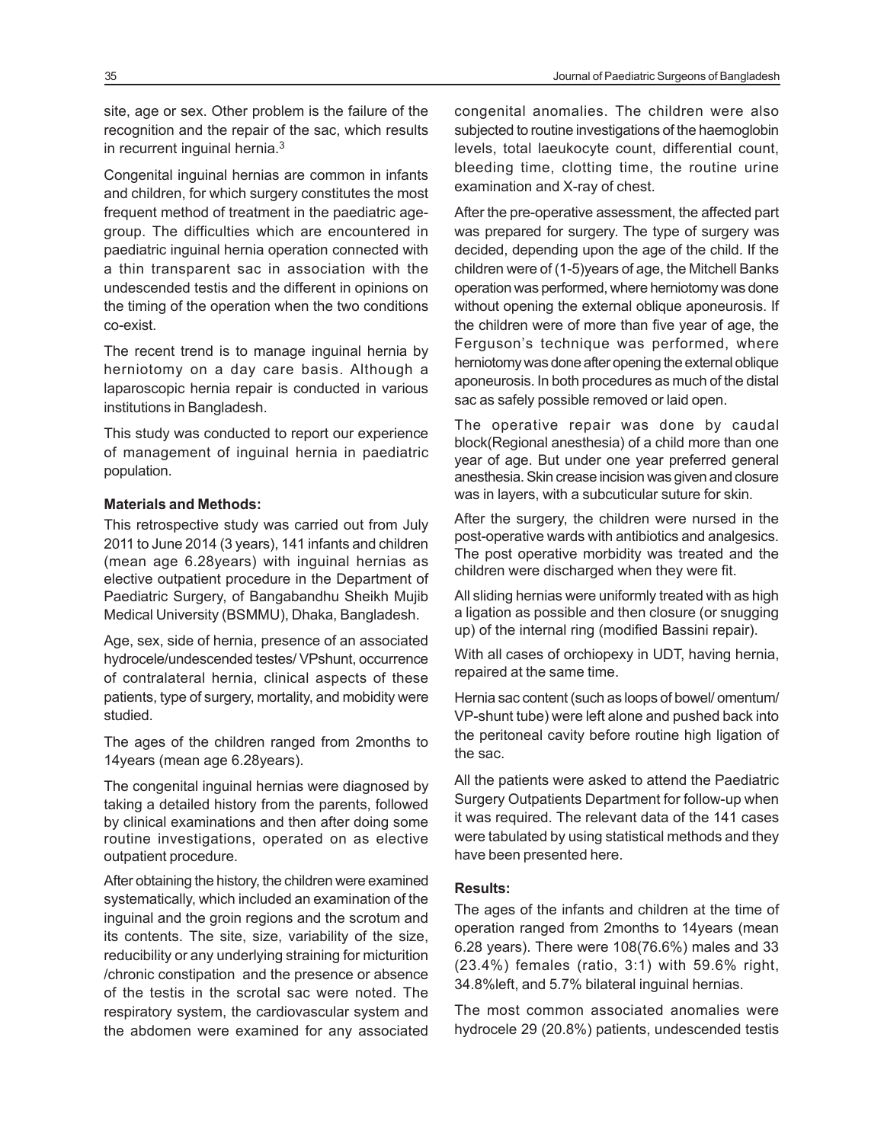site, age or sex. Other problem is the failure of the recognition and the repair of the sac, which results in recurrent inguinal hernia.<sup>3</sup>

Congenital inguinal hernias are common in infants and children, for which surgery constitutes the most frequent method of treatment in the paediatric agegroup. The difficulties which are encountered in paediatric inguinal hernia operation connected with a thin transparent sac in association with the undescended testis and the different in opinions on the timing of the operation when the two conditions co-exist.

The recent trend is to manage inguinal hernia by herniotomy on a day care basis. Although a laparoscopic hernia repair is conducted in various institutions in Bangladesh.

This study was conducted to report our experience of management of inguinal hernia in paediatric population.

#### **Materials and Methods:**

This retrospective study was carried out from July 2011 to June 2014 (3 years), 141 infants and children (mean age 6.28years) with inguinal hernias as elective outpatient procedure in the Department of Paediatric Surgery, of Bangabandhu Sheikh Mujib Medical University (BSMMU), Dhaka, Bangladesh.

Age, sex, side of hernia, presence of an associated hydrocele/undescended testes/ VPshunt, occurrence of contralateral hernia, clinical aspects of these patients, type of surgery, mortality, and mobidity were studied.

The ages of the children ranged from 2months to 14years (mean age 6.28years).

The congenital inguinal hernias were diagnosed by taking a detailed history from the parents, followed by clinical examinations and then after doing some routine investigations, operated on as elective outpatient procedure.

After obtaining the history, the children were examined systematically, which included an examination of the inguinal and the groin regions and the scrotum and its contents. The site, size, variability of the size, reducibility or any underlying straining for micturition /chronic constipation and the presence or absence of the testis in the scrotal sac were noted. The respiratory system, the cardiovascular system and the abdomen were examined for any associated congenital anomalies. The children were also subjected to routine investigations of the haemoglobin levels, total laeukocyte count, differential count, bleeding time, clotting time, the routine urine examination and X-ray of chest.

After the pre-operative assessment, the affected part was prepared for surgery. The type of surgery was decided, depending upon the age of the child. If the children were of (1-5)years of age, the Mitchell Banks operation was performed, where herniotomy was done without opening the external oblique aponeurosis. If the children were of more than five year of age, the Ferguson's technique was performed, where herniotomy was done after opening the external oblique aponeurosis. In both procedures as much of the distal sac as safely possible removed or laid open.

The operative repair was done by caudal block(Regional anesthesia) of a child more than one year of age. But under one year preferred general anesthesia. Skin crease incision was given and closure was in layers, with a subcuticular suture for skin.

After the surgery, the children were nursed in the post-operative wards with antibiotics and analgesics. The post operative morbidity was treated and the children were discharged when they were fit.

All sliding hernias were uniformly treated with as high a ligation as possible and then closure (or snugging up) of the internal ring (modified Bassini repair).

With all cases of orchiopexy in UDT, having hernia, repaired at the same time.

Hernia sac content (such as loops of bowel/ omentum/ VP-shunt tube) were left alone and pushed back into the peritoneal cavity before routine high ligation of the sac.

All the patients were asked to attend the Paediatric Surgery Outpatients Department for follow-up when it was required. The relevant data of the 141 cases were tabulated by using statistical methods and they have been presented here.

#### **Results:**

The ages of the infants and children at the time of operation ranged from 2months to 14years (mean 6.28 years). There were 108(76.6%) males and 33 (23.4%) females (ratio, 3:1) with 59.6% right, 34.8%left, and 5.7% bilateral inguinal hernias.

The most common associated anomalies were hydrocele 29 (20.8%) patients, undescended testis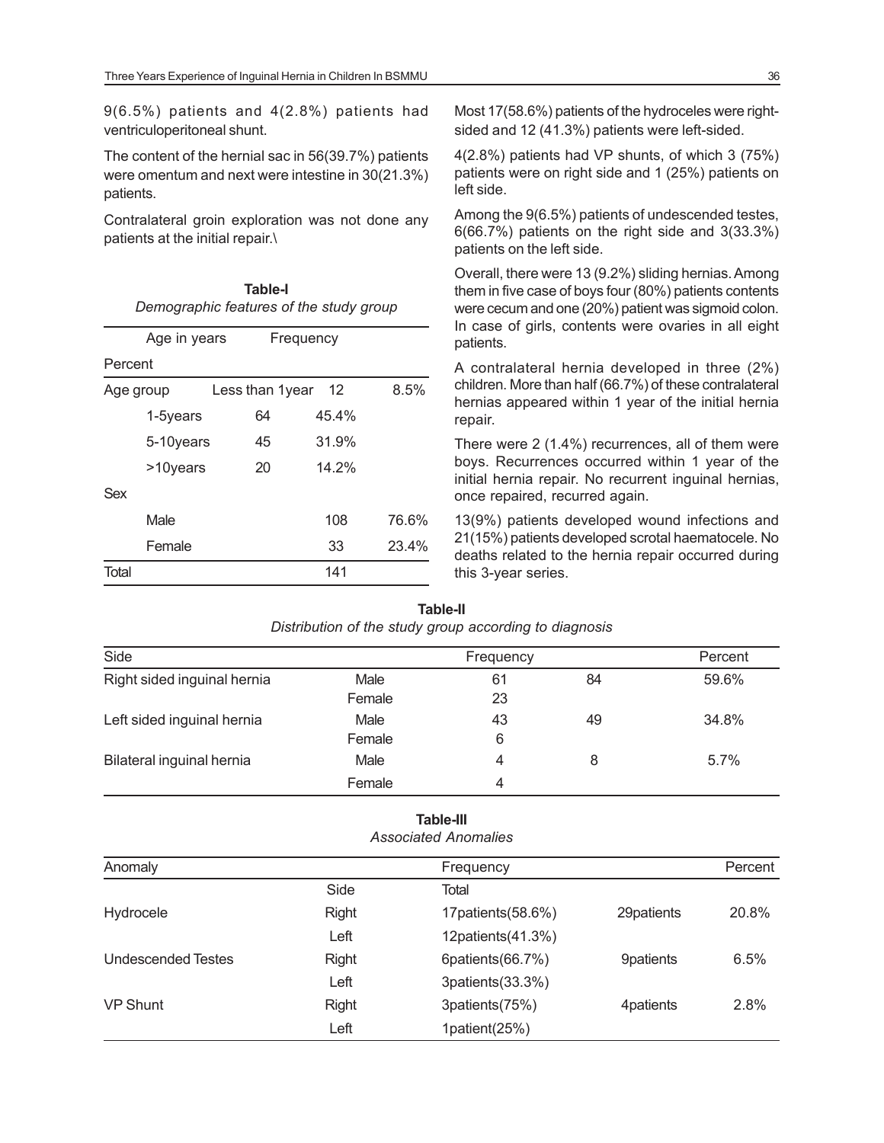9(6.5%) patients and 4(2.8%) patients had ventriculoperitoneal shunt.

The content of the hernial sac in 56(39.7%) patients were omentum and next were intestine in 30(21.3%) patients.

Contralateral groin exploration was not done any patients at the initial repair.\

**Table-I** *Demographic features of the study group*

|           | Age in years | Frequency       |       |       |
|-----------|--------------|-----------------|-------|-------|
| Percent   |              |                 |       |       |
| Age group |              | Less than 1year | 12    | 8.5%  |
|           | 1-5years     | 64              | 45.4% |       |
|           | 5-10years    | 45              | 31.9% |       |
|           | >10years     | 20              | 14.2% |       |
| Sex       |              |                 |       |       |
|           | <b>Male</b>  |                 | 108   | 76.6% |
|           | Female       |                 | 33    | 23.4% |
| Total     |              |                 | 141   |       |

Most 17(58.6%) patients of the hydroceles were rightsided and 12 (41.3%) patients were left-sided.

4(2.8%) patients had VP shunts, of which 3 (75%) patients were on right side and 1 (25%) patients on left side.

Among the 9(6.5%) patients of undescended testes, 6(66.7%) patients on the right side and 3(33.3%) patients on the left side.

Overall, there were 13 (9.2%) sliding hernias. Among them in five case of boys four (80%) patients contents were cecum and one (20%) patient was sigmoid colon. In case of girls, contents were ovaries in all eight patients.

A contralateral hernia developed in three (2%) children. More than half (66.7%) of these contralateral hernias appeared within 1 year of the initial hernia repair.

There were 2 (1.4%) recurrences, all of them were boys. Recurrences occurred within 1 year of the initial hernia repair. No recurrent inguinal hernias, once repaired, recurred again.

13(9%) patients developed wound infections and 21(15%) patients developed scrotal haematocele. No deaths related to the hernia repair occurred during this 3-year series.

| Side                        |        | Frequency |    | Percent |  |
|-----------------------------|--------|-----------|----|---------|--|
| Right sided inguinal hernia | Male   | 61        | 84 | 59.6%   |  |
|                             | Female | 23        |    |         |  |
| Left sided inguinal hernia  | Male   | 43        | 49 | 34.8%   |  |
|                             | Female | 6         |    |         |  |
| Bilateral inguinal hernia   | Male   | 4         | 8  | 5.7%    |  |
|                             | Female | 4         |    |         |  |

**Table-II** *Distribution of the study group according to diagnosis*

### **Table-III**

*Associated Anomalies*

| Anomaly                   |              | Frequency           |             | Percent |
|---------------------------|--------------|---------------------|-------------|---------|
|                           | Side         | <b>Total</b>        |             |         |
| Hydrocele                 | <b>Right</b> | 17 patients (58.6%) | 29 patients | 20.8%   |
|                           | Left         | 12patients(41.3%)   |             |         |
| <b>Undescended Testes</b> | Right        | 6patients(66.7%)    | 9patients   | 6.5%    |
|                           | Left         | 3patients (33.3%)   |             |         |
| <b>VP Shunt</b>           | Right        | 3patients(75%)      | 4patients   | 2.8%    |
|                           | Left         | 1patient(25%)       |             |         |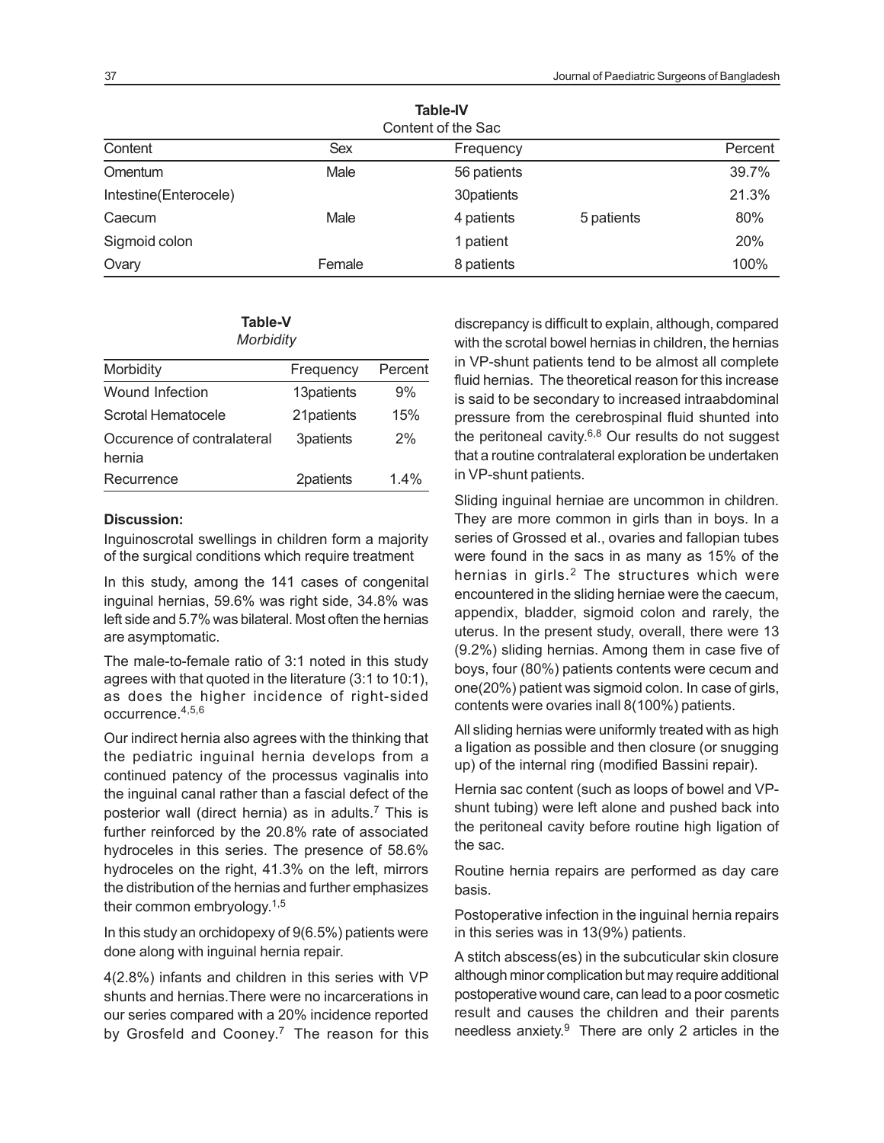| Table-IV<br>Content of the Sac |            |             |            |         |
|--------------------------------|------------|-------------|------------|---------|
| Content                        | <b>Sex</b> | Frequency   |            | Percent |
| Omentum                        | Male       | 56 patients |            | 39.7%   |
| Intestine(Enterocele)          |            | 30patients  |            | 21.3%   |
| Caecum                         | Male       | 4 patients  | 5 patients | 80%     |
| Sigmoid colon                  |            | 1 patient   |            | 20%     |
| Ovary                          | Female     | 8 patients  |            | 100%    |

**Table-IV**

#### **Table-V** *Morbidity*

| Morbidity                            | Frequency   | Percent |
|--------------------------------------|-------------|---------|
| <b>Wound Infection</b>               | 13patients  | 9%      |
| Scrotal Hematocele                   | 21 patients | 15%     |
| Occurence of contralateral<br>hernia | 3patients   | 2%      |
| Recurrence                           | 2patients   | $1.4\%$ |

### **Discussion:**

Inguinoscrotal swellings in children form a majority of the surgical conditions which require treatment

In this study, among the 141 cases of congenital inguinal hernias, 59.6% was right side, 34.8% was left side and 5.7% was bilateral. Most often the hernias are asymptomatic.

The male-to-female ratio of 3:1 noted in this study agrees with that quoted in the literature (3:1 to 10:1), as does the higher incidence of right-sided occurrence.4,5,6

Our indirect hernia also agrees with the thinking that the pediatric inguinal hernia develops from a continued patency of the processus vaginalis into the inguinal canal rather than a fascial defect of the posterior wall (direct hernia) as in adults.<sup>7</sup> This is further reinforced by the 20.8% rate of associated hydroceles in this series. The presence of 58.6% hydroceles on the right, 41.3% on the left, mirrors the distribution of the hernias and further emphasizes their common embryology. 1,5

In this study an orchidopexy of 9(6.5%) patients were done along with inguinal hernia repair.

4(2.8%) infants and children in this series with VP shunts and hernias.There were no incarcerations in our series compared with a 20% incidence reported by Grosfeld and Cooney.<sup>7</sup> The reason for this

discrepancy is difficult to explain, although, compared with the scrotal bowel hernias in children, the hernias in VP-shunt patients tend to be almost all complete fluid hernias. The theoretical reason for this increase is said to be secondary to increased intraabdominal pressure from the cerebrospinal fluid shunted into the peritoneal cavity.<sup>6,8</sup> Our results do not suggest that a routine contralateral exploration be undertaken in VP-shunt patients.

Sliding inguinal herniae are uncommon in children. They are more common in girls than in boys. In a series of Grossed et al., ovaries and fallopian tubes were found in the sacs in as many as 15% of the hernias in girls.<sup>2</sup> The structures which were encountered in the sliding herniae were the caecum, appendix, bladder, sigmoid colon and rarely, the uterus. In the present study, overall, there were 13 (9.2%) sliding hernias. Among them in case five of boys, four (80%) patients contents were cecum and one(20%) patient was sigmoid colon. In case of girls, contents were ovaries inall 8(100%) patients.

All sliding hernias were uniformly treated with as high a ligation as possible and then closure (or snugging up) of the internal ring (modified Bassini repair).

Hernia sac content (such as loops of bowel and VPshunt tubing) were left alone and pushed back into the peritoneal cavity before routine high ligation of the sac.

Routine hernia repairs are performed as day care basis.

Postoperative infection in the inguinal hernia repairs in this series was in 13(9%) patients.

A stitch abscess(es) in the subcuticular skin closure although minor complication but may require additional postoperative wound care, can lead to a poor cosmetic result and causes the children and their parents needless anxiety.<sup>9</sup> There are only 2 articles in the